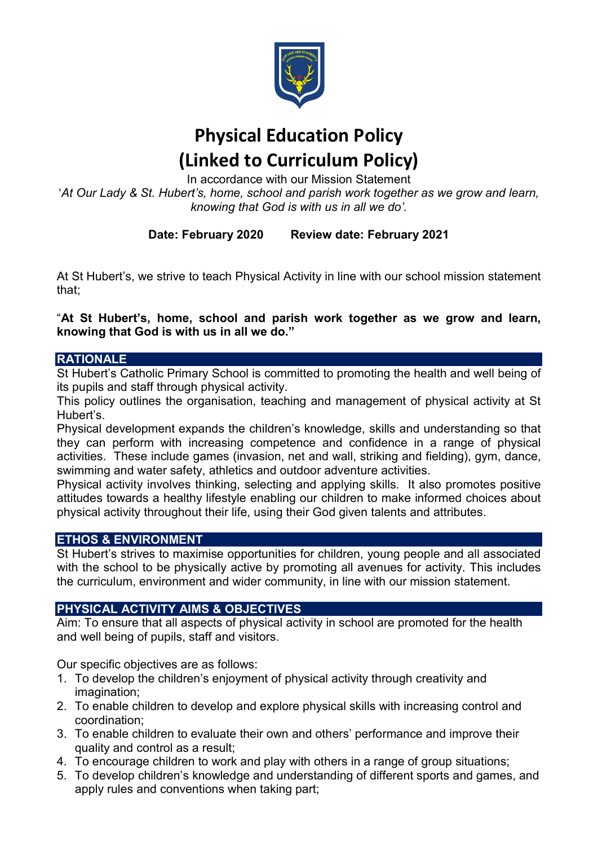

# Physical Education Policy (Linked to Curriculum Policy)

In accordance with our Mission Statement

'At Our Lady & St. Hubert's, home, school and parish work together as we grow and learn, knowing that God is with us in all we do'.

# Date: February 2020 Review date: February 2021

At St Hubert's, we strive to teach Physical Activity in line with our school mission statement that;

"At St Hubert's, home, school and parish work together as we grow and learn, knowing that God is with us in all we do."

# **RATIONALE**

St Hubert's Catholic Primary School is committed to promoting the health and well being of its pupils and staff through physical activity.

This policy outlines the organisation, teaching and management of physical activity at St Hubert's.

Physical development expands the children's knowledge, skills and understanding so that they can perform with increasing competence and confidence in a range of physical activities. These include games (invasion, net and wall, striking and fielding), gym, dance, swimming and water safety, athletics and outdoor adventure activities.

Physical activity involves thinking, selecting and applying skills. It also promotes positive attitudes towards a healthy lifestyle enabling our children to make informed choices about physical activity throughout their life, using their God given talents and attributes.

# ETHOS & ENVIRONMENT

St Hubert's strives to maximise opportunities for children, young people and all associated with the school to be physically active by promoting all avenues for activity. This includes the curriculum, environment and wider community, in line with our mission statement.

# PHYSICAL ACTIVITY AIMS & OBJECTIVES

Aim: To ensure that all aspects of physical activity in school are promoted for the health and well being of pupils, staff and visitors.

Our specific objectives are as follows:

- 1. To develop the children's enjoyment of physical activity through creativity and imagination:
- 2. To enable children to develop and explore physical skills with increasing control and coordination;
- 3. To enable children to evaluate their own and others' performance and improve their quality and control as a result;
- 4. To encourage children to work and play with others in a range of group situations;
- 5. To develop children's knowledge and understanding of different sports and games, and apply rules and conventions when taking part;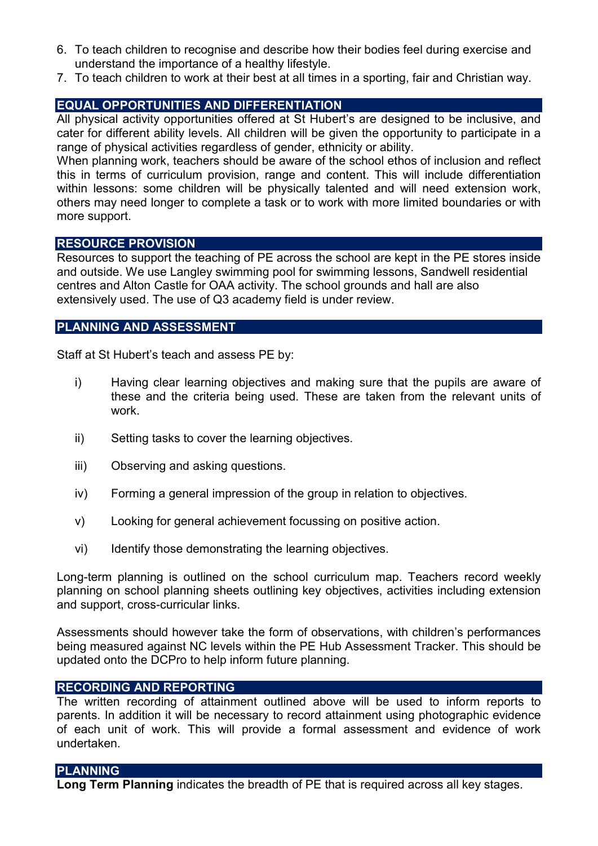- 6. To teach children to recognise and describe how their bodies feel during exercise and understand the importance of a healthy lifestyle.
- 7. To teach children to work at their best at all times in a sporting, fair and Christian way.

# EQUAL OPPORTUNITIES AND DIFFERENTIATION

All physical activity opportunities offered at St Hubert's are designed to be inclusive, and cater for different ability levels. All children will be given the opportunity to participate in a range of physical activities regardless of gender, ethnicity or ability.

When planning work, teachers should be aware of the school ethos of inclusion and reflect this in terms of curriculum provision, range and content. This will include differentiation within lessons: some children will be physically talented and will need extension work, others may need longer to complete a task or to work with more limited boundaries or with more support.

## RESOURCE PROVISION

Resources to support the teaching of PE across the school are kept in the PE stores inside and outside. We use Langley swimming pool for swimming lessons, Sandwell residential centres and Alton Castle for OAA activity. The school grounds and hall are also extensively used. The use of Q3 academy field is under review.

## PLANNING AND ASSESSMENT

Staff at St Hubert's teach and assess PE by:

- i) Having clear learning objectives and making sure that the pupils are aware of these and the criteria being used. These are taken from the relevant units of work.
- ii) Setting tasks to cover the learning objectives.
- iii) Observing and asking questions.
- iv) Forming a general impression of the group in relation to objectives.
- v) Looking for general achievement focussing on positive action.
- vi) Identify those demonstrating the learning objectives.

Long-term planning is outlined on the school curriculum map. Teachers record weekly planning on school planning sheets outlining key objectives, activities including extension and support, cross-curricular links.

Assessments should however take the form of observations, with children's performances being measured against NC levels within the PE Hub Assessment Tracker. This should be updated onto the DCPro to help inform future planning.

## RECORDING AND REPORTING

The written recording of attainment outlined above will be used to inform reports to parents. In addition it will be necessary to record attainment using photographic evidence of each unit of work. This will provide a formal assessment and evidence of work undertaken.

## PLANNING

Long Term Planning indicates the breadth of PE that is required across all key stages.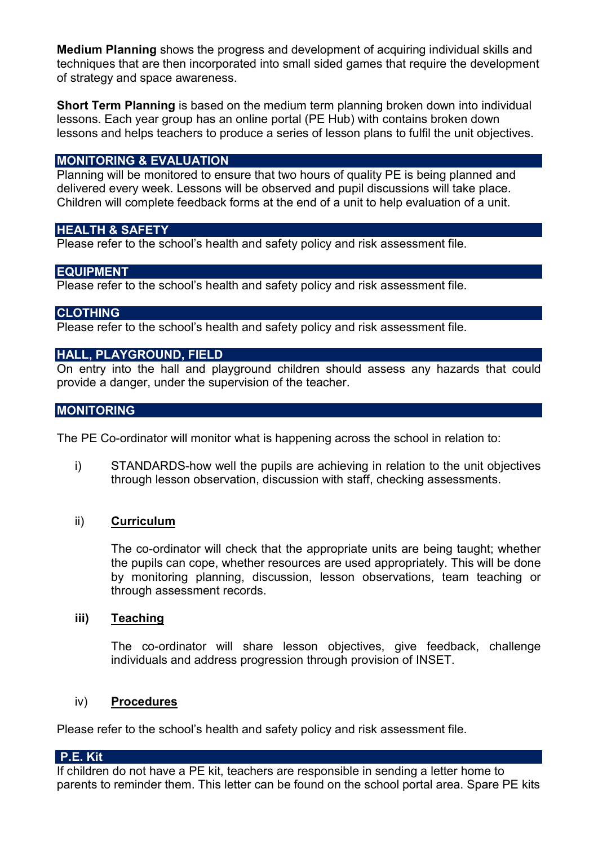Medium Planning shows the progress and development of acquiring individual skills and techniques that are then incorporated into small sided games that require the development of strategy and space awareness.

Short Term Planning is based on the medium term planning broken down into individual lessons. Each year group has an online portal (PE Hub) with contains broken down lessons and helps teachers to produce a series of lesson plans to fulfil the unit objectives.

### MONITORING & EVALUATION

Planning will be monitored to ensure that two hours of quality PE is being planned and delivered every week. Lessons will be observed and pupil discussions will take place. Children will complete feedback forms at the end of a unit to help evaluation of a unit.

#### HEALTH & SAFETY

Please refer to the school's health and safety policy and risk assessment file.

## EQUIPMENT

Please refer to the school's health and safety policy and risk assessment file.

#### CLOTHING

Please refer to the school's health and safety policy and risk assessment file.

## HALL, PLAYGROUND, FIELD

On entry into the hall and playground children should assess any hazards that could provide a danger, under the supervision of the teacher.

#### MONITORING

The PE Co-ordinator will monitor what is happening across the school in relation to:

i) STANDARDS-how well the pupils are achieving in relation to the unit objectives through lesson observation, discussion with staff, checking assessments.

#### ii) Curriculum

The co-ordinator will check that the appropriate units are being taught; whether the pupils can cope, whether resources are used appropriately. This will be done by monitoring planning, discussion, lesson observations, team teaching or through assessment records.

#### iii) Teaching

The co-ordinator will share lesson objectives, give feedback, challenge individuals and address progression through provision of INSET.

#### iv) Procedures

Please refer to the school's health and safety policy and risk assessment file.

#### P.E. Kit

If children do not have a PE kit, teachers are responsible in sending a letter home to parents to reminder them. This letter can be found on the school portal area. Spare PE kits